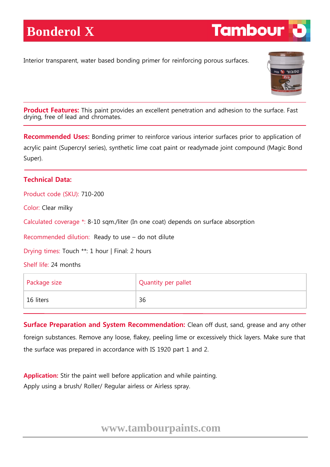Interior transparent, water based bonding primer for reinforcing porous surfaces.



**Tambour** 

**Product Features:** This paint provides an excellent penetration and adhesion to the surface. Fast drying, free of lead and chromates.

**Recommended Uses:** Bonding primer to reinforce various interior surfaces prior to application of acrylic paint (Supercryl series), synthetic lime coat paint or readymade joint compound (Magic Bond Super).

## **Technical Data:**

Product code (SKU): 710-200

Color: Clear milky

Calculated coverage \*: 8-10 sqm./liter (In one coat) depends on surface absorption

Recommended dilution: Ready to use – do not dilute

Drying times: Touch \*\*: 1 hour | Final: 2 hours

Shelf life: 24 months

| Package size | Quantity per pallet |
|--------------|---------------------|
| 16 liters    | 36                  |

**Surface Preparation and System Recommendation:** Clean off dust, sand, grease and any other foreign substances. Remove any loose, flakey, peeling lime or excessively thick layers. Make sure that the surface was prepared in accordance with IS 1920 part 1 and 2.

**Application:** Stir the paint well before application and while painting. Apply using a brush/ Roller/ Regular airless or Airless spray.